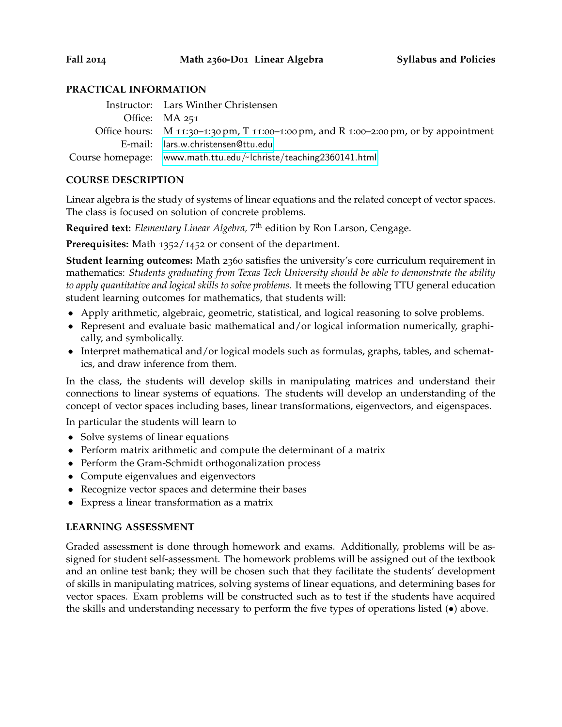#### **PRACTICAL INFORMATION**

| Instructor: Lars Winther Christensen                                                  |
|---------------------------------------------------------------------------------------|
| Office: MA 251                                                                        |
| Office hours: M 11:30-1:30 pm, T 11:00-1:00 pm, and R 1:00-2:00 pm, or by appointment |
| E-mail: lars.w.christensen@ttu.edu                                                    |
| Course homepage: www.math.ttu.edu/~lchriste/teaching2360141.html                      |

#### **COURSE DESCRIPTION**

Linear algebra is the study of systems of linear equations and the related concept of vector spaces. The class is focused on solution of concrete problems.

**Required text:** *Elementary Linear Algebra,* 7 th edition by Ron Larson, Cengage.

**Prerequisites:** Math 1352/1452 or consent of the department.

**Student learning outcomes:** Math 2360 satisfies the university's core curriculum requirement in mathematics: *Students graduating from Texas Tech University should be able to demonstrate the ability to apply quantitative and logical skills to solve problems.* It meets the following TTU general education student learning outcomes for mathematics, that students will:

- Apply arithmetic, algebraic, geometric, statistical, and logical reasoning to solve problems.
- Represent and evaluate basic mathematical and/or logical information numerically, graphically, and symbolically.
- Interpret mathematical and/or logical models such as formulas, graphs, tables, and schematics, and draw inference from them.

In the class, the students will develop skills in manipulating matrices and understand their connections to linear systems of equations. The students will develop an understanding of the concept of vector spaces including bases, linear transformations, eigenvectors, and eigenspaces.

In particular the students will learn to

- Solve systems of linear equations
- Perform matrix arithmetic and compute the determinant of a matrix
- Perform the Gram-Schmidt orthogonalization process
- Compute eigenvalues and eigenvectors
- Recognize vector spaces and determine their bases
- Express a linear transformation as a matrix

# **LEARNING ASSESSMENT**

Graded assessment is done through homework and exams. Additionally, problems will be assigned for student self-assessment. The homework problems will be assigned out of the textbook and an online test bank; they will be chosen such that they facilitate the students' development of skills in manipulating matrices, solving systems of linear equations, and determining bases for vector spaces. Exam problems will be constructed such as to test if the students have acquired the skills and understanding necessary to perform the five types of operations listed (•) above.